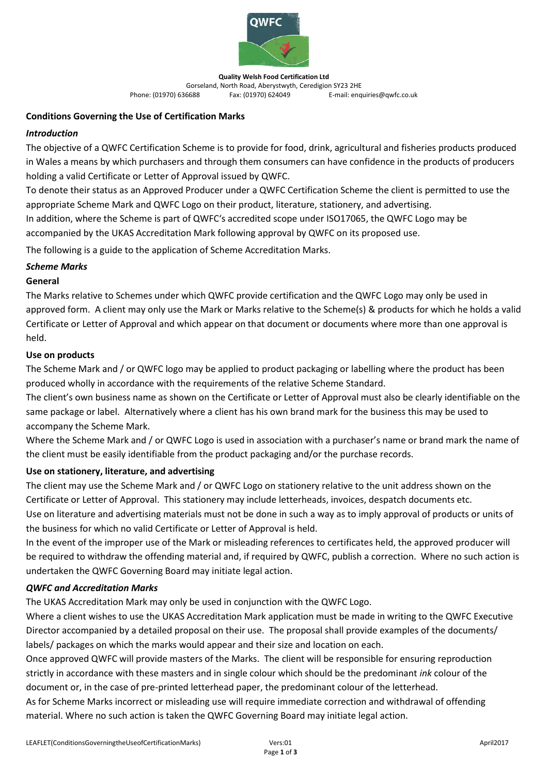

**Quality Welsh Food Certification Ltd** Gorseland, North Road, Aberystwyth, Ceredigion SY23 2HE<br>E-mail: enq (01970) 636688 Fax: (01970) 624049 F-mail: enq E-mail: enquiries@qwfc.co.uk

#### **Conditions Governing the Use of Certification Marks**

## *Introduction*

The objective of a QWFC Certification Scheme is to provide for food, drink, agricultural and fisheries products produced in Wales a means by which purchasers and through them consumers can have confidence in the products of producers holding a valid Certificate or Letter of Approval issued by QWFC.

To denote their status as an Approved Producer under a QWFC Certification Scheme the client is permitted to use the appropriate Scheme Mark and QWFC Logo on their product, literature, stationery, and advertising.

In addition, where the Scheme is part of QWFC's accredited scope under ISO17065, the QWFC Logo may be accompanied by the UKAS Accreditation Mark following approval by QWFC on its proposed use.

The following is a guide to the application of Scheme Accreditation Marks.

## *Scheme Marks*

## **General**

The Marks relative to Schemes under which QWFC provide certification and the QWFC Logo may only be used in approved form. A client may only use the Mark or Marks relative to the Scheme(s) & products for which he holds a valid Certificate or Letter of Approval and which appear on that document or documents where more than one approval is held.

## **Use on products**

The Scheme Mark and / or QWFC logo may be applied to product packaging or labelling where the product has been produced wholly in accordance with the requirements of the relative Scheme Standard.

The client's own business name as shown on the Certificate or Letter of Approval must also be clearly identifiable on the same package or label. Alternatively where a client has his own brand mark for the business this may be used to accompany the Scheme Mark.

Where the Scheme Mark and / or QWFC Logo is used in association with a purchaser's name or brand mark the name of the client must be easily identifiable from the product packaging and/or the purchase records.

## **Use on stationery, literature, and advertising**

The client may use the Scheme Mark and / or QWFC Logo on stationery relative to the unit address shown on the Certificate or Letter of Approval. This stationery may include letterheads, invoices, despatch documents etc.

Use on literature and advertising materials must not be done in such a way as to imply approval of products or units of the business for which no valid Certificate or Letter of Approval is held.

In the event of the improper use of the Mark or misleading references to certificates held, the approved producer will be required to withdraw the offending material and, if required by QWFC, publish a correction. Where no such action is undertaken the QWFC Governing Board may initiate legal action.

#### *QWFC and Accreditation Marks*

The UKAS Accreditation Mark may only be used in conjunction with the QWFC Logo.

Where a client wishes to use the UKAS Accreditation Mark application must be made in writing to the QWFC Executive Director accompanied by a detailed proposal on their use. The proposal shall provide examples of the documents/ labels/ packages on which the marks would appear and their size and location on each.

Once approved QWFC will provide masters of the Marks. The client will be responsible for ensuring reproduction strictly in accordance with these masters and in single colour which should be the predominant *ink* colour of the document or, in the case of pre-printed letterhead paper, the predominant colour of the letterhead.

As for Scheme Marks incorrect or misleading use will require immediate correction and withdrawal of offending material. Where no such action is taken the QWFC Governing Board may initiate legal action.